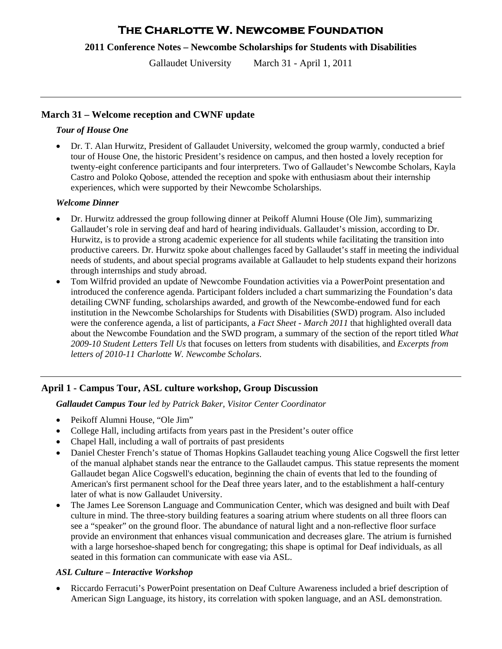# **The Charlotte W. Newcombe Foundation**

**2011 Conference Notes – Newcombe Scholarships for Students with Disabilities** 

Gallaudet University March 31 - April 1, 2011

# **March 31 – Welcome reception and CWNF update**

## *Tour of House One*

 Dr. T. Alan Hurwitz, President of Gallaudet University, welcomed the group warmly, conducted a brief tour of House One, the historic President's residence on campus, and then hosted a lovely reception for twenty-eight conference participants and four interpreters. Two of Gallaudet's Newcombe Scholars, Kayla Castro and Poloko Qobose, attended the reception and spoke with enthusiasm about their internship experiences, which were supported by their Newcombe Scholarships.

### *Welcome Dinner*

- Dr. Hurwitz addressed the group following dinner at Peikoff Alumni House (Ole Jim), summarizing Gallaudet's role in serving deaf and hard of hearing individuals. Gallaudet's mission, according to Dr. Hurwitz, is to provide a strong academic experience for all students while facilitating the transition into productive careers. Dr. Hurwitz spoke about challenges faced by Gallaudet's staff in meeting the individual needs of students, and about special programs available at Gallaudet to help students expand their horizons through internships and study abroad.
- Tom Wilfrid provided an update of Newcombe Foundation activities via a PowerPoint presentation and introduced the conference agenda. Participant folders included a chart summarizing the Foundation's data detailing CWNF funding, scholarships awarded, and growth of the Newcombe-endowed fund for each institution in the Newcombe Scholarships for Students with Disabilities (SWD) program. Also included were the conference agenda, a list of participants, a *Fact Sheet - March 2011* that highlighted overall data about the Newcombe Foundation and the SWD program, a summary of the section of the report titled *What 2009-10 Student Letters Tell Us* that focuses on letters from students with disabilities, and *Excerpts from letters of 2010-11 Charlotte W. Newcombe Scholars*.

# **April 1 - Campus Tour, ASL culture workshop, Group Discussion**

*Gallaudet Campus Tour led by Patrick Baker, Visitor Center Coordinator*

- Peikoff Alumni House, "Ole Jim"
- College Hall, including artifacts from years past in the President's outer office
- Chapel Hall, including a wall of portraits of past presidents
- Daniel Chester French's statue of Thomas Hopkins Gallaudet teaching young Alice Cogswell the first letter of the manual alphabet stands near the entrance to the Gallaudet campus. This statue represents the moment Gallaudet began Alice Cogswell's education, beginning the chain of events that led to the founding of American's first permanent school for the Deaf three years later, and to the establishment a half-century later of what is now Gallaudet University.
- The James Lee Sorenson Language and Communication Center, which was designed and built with Deaf culture in mind. The three-story building features a soaring atrium where students on all three floors can see a "speaker" on the ground floor. The abundance of natural light and a non-reflective floor surface provide an environment that enhances visual communication and decreases glare. The atrium is furnished with a large horseshoe-shaped bench for congregating; this shape is optimal for Deaf individuals, as all seated in this formation can communicate with ease via ASL.

# *ASL Culture – Interactive Workshop*

 Riccardo Ferracuti's PowerPoint presentation on Deaf Culture Awareness included a brief description of American Sign Language, its history, its correlation with spoken language, and an ASL demonstration.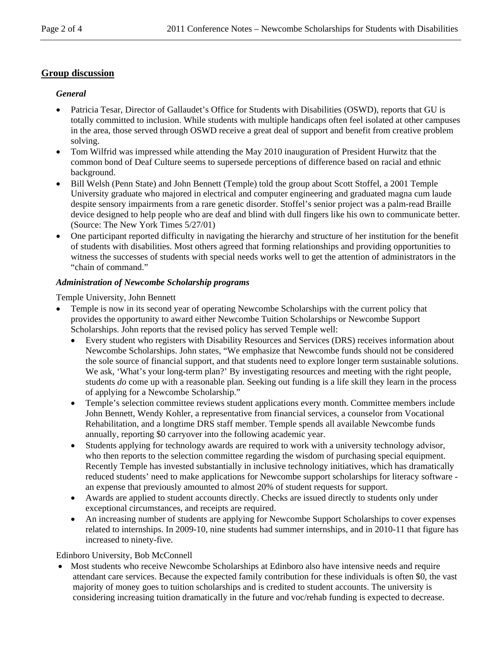# **Group discussion**

## *General*

- Patricia Tesar, Director of Gallaudet's Office for Students with Disabilities (OSWD), reports that GU is totally committed to inclusion. While students with multiple handicaps often feel isolated at other campuses in the area, those served through OSWD receive a great deal of support and benefit from creative problem solving.
- Tom Wilfrid was impressed while attending the May 2010 inauguration of President Hurwitz that the common bond of Deaf Culture seems to supersede perceptions of difference based on racial and ethnic background.
- Bill Welsh (Penn State) and John Bennett (Temple) told the group about Scott Stoffel, a 2001 Temple University graduate who majored in electrical and computer engineering and graduated magna cum laude despite sensory impairments from a rare genetic disorder. Stoffel's senior project was a palm-read Braille device designed to help people who are deaf and blind with dull fingers like his own to communicate better. (Source: The New York Times 5/27/01)
- One participant reported difficulty in navigating the hierarchy and structure of her institution for the benefit of students with disabilities. Most others agreed that forming relationships and providing opportunities to witness the successes of students with special needs works well to get the attention of administrators in the "chain of command."

## *Administration of Newcombe Scholarship programs*

Temple University, John Bennett

- Temple is now in its second year of operating Newcombe Scholarships with the current policy that provides the opportunity to award either Newcombe Tuition Scholarships or Newcombe Support Scholarships. John reports that the revised policy has served Temple well:
	- Every student who registers with Disability Resources and Services (DRS) receives information about Newcombe Scholarships. John states, "We emphasize that Newcombe funds should not be considered the sole source of financial support, and that students need to explore longer term sustainable solutions. We ask, 'What's your long-term plan?' By investigating resources and meeting with the right people, students *do* come up with a reasonable plan. Seeking out funding is a life skill they learn in the process of applying for a Newcombe Scholarship."
	- Temple's selection committee reviews student applications every month. Committee members include John Bennett, Wendy Kohler, a representative from financial services, a counselor from Vocational Rehabilitation, and a longtime DRS staff member. Temple spends all available Newcombe funds annually, reporting \$0 carryover into the following academic year.
	- Students applying for technology awards are required to work with a university technology advisor, who then reports to the selection committee regarding the wisdom of purchasing special equipment. Recently Temple has invested substantially in inclusive technology initiatives, which has dramatically reduced students' need to make applications for Newcombe support scholarships for literacy software an expense that previously amounted to almost 20% of student requests for support.
	- Awards are applied to student accounts directly. Checks are issued directly to students only under exceptional circumstances, and receipts are required.
	- An increasing number of students are applying for Newcombe Support Scholarships to cover expenses related to internships. In 2009-10, nine students had summer internships, and in 2010-11 that figure has increased to ninety-five.

# Edinboro University, Bob McConnell

 Most students who receive Newcombe Scholarships at Edinboro also have intensive needs and require attendant care services. Because the expected family contribution for these individuals is often \$0, the vast majority of money goes to tuition scholarships and is credited to student accounts. The university is considering increasing tuition dramatically in the future and voc/rehab funding is expected to decrease.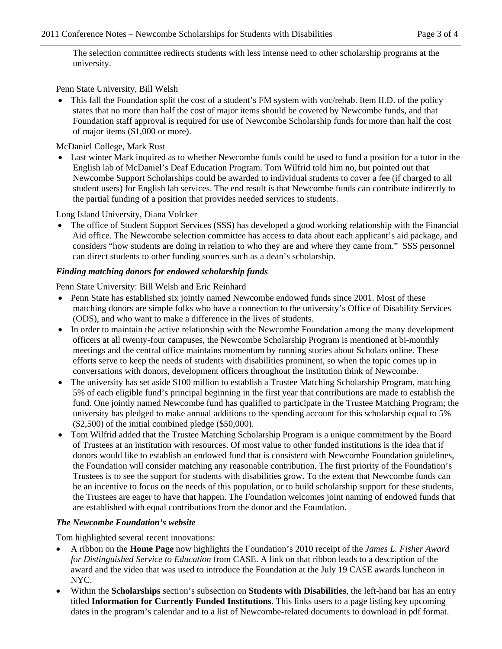The selection committee redirects students with less intense need to other scholarship programs at the university.

Penn State University, Bill Welsh

 This fall the Foundation split the cost of a student's FM system with voc/rehab. Item II.D. of the policy states that no more than half the cost of major items should be covered by Newcombe funds, and that Foundation staff approval is required for use of Newcombe Scholarship funds for more than half the cost of major items (\$1,000 or more).

McDaniel College, Mark Rust

 Last winter Mark inquired as to whether Newcombe funds could be used to fund a position for a tutor in the English lab of McDaniel's Deaf Education Program. Tom Wilfrid told him no, but pointed out that Newcombe Support Scholarships could be awarded to individual students to cover a fee (if charged to all student users) for English lab services. The end result is that Newcombe funds can contribute indirectly to the partial funding of a position that provides needed services to students.

Long Island University, Diana Volcker

 The office of Student Support Services (SSS) has developed a good working relationship with the Financial Aid office. The Newcombe selection committee has access to data about each applicant's aid package, and considers "how students are doing in relation to who they are and where they came from." SSS personnel can direct students to other funding sources such as a dean's scholarship.

#### *Finding matching donors for endowed scholarship funds*

Penn State University: Bill Welsh and Eric Reinhard

- Penn State has established six jointly named Newcombe endowed funds since 2001. Most of these matching donors are simple folks who have a connection to the university's Office of Disability Services (ODS), and who want to make a difference in the lives of students.
- In order to maintain the active relationship with the Newcombe Foundation among the many development officers at all twenty-four campuses, the Newcombe Scholarship Program is mentioned at bi-monthly meetings and the central office maintains momentum by running stories about Scholars online. These efforts serve to keep the needs of students with disabilities prominent, so when the topic comes up in conversations with donors, development officers throughout the institution think of Newcombe.
- The university has set aside \$100 million to establish a Trustee Matching Scholarship Program, matching 5% of each eligible fund's principal beginning in the first year that contributions are made to establish the fund. One jointly named Newcombe fund has qualified to participate in the Trustee Matching Program; the university has pledged to make annual additions to the spending account for this scholarship equal to 5% (\$2,500) of the initial combined pledge (\$50,000).
- Tom Wilfrid added that the Trustee Matching Scholarship Program is a unique commitment by the Board of Trustees at an institution with resources. Of most value to other funded institutions is the idea that if donors would like to establish an endowed fund that is consistent with Newcombe Foundation guidelines, the Foundation will consider matching any reasonable contribution. The first priority of the Foundation's Trustees is to see the support for students with disabilities grow. To the extent that Newcombe funds can be an incentive to focus on the needs of this population, or to build scholarship support for these students, the Trustees are eager to have that happen. The Foundation welcomes joint naming of endowed funds that are established with equal contributions from the donor and the Foundation.

#### *The Newcombe Foundation's website*

Tom highlighted several recent innovations:

- A ribbon on the **Home Page** now highlights the Foundation's 2010 receipt of the *James L. Fisher Award for Distinguished Service to Education* from CASE. A link on that ribbon leads to a description of the award and the video that was used to introduce the Foundation at the July 19 CASE awards luncheon in NYC.
- Within the **Scholarships** section's subsection on **Students with Disabilities**, the left-hand bar has an entry titled **Information for Currently Funded Institutions**. This links users to a page listing key upcoming dates in the program's calendar and to a list of Newcombe-related documents to download in pdf format.